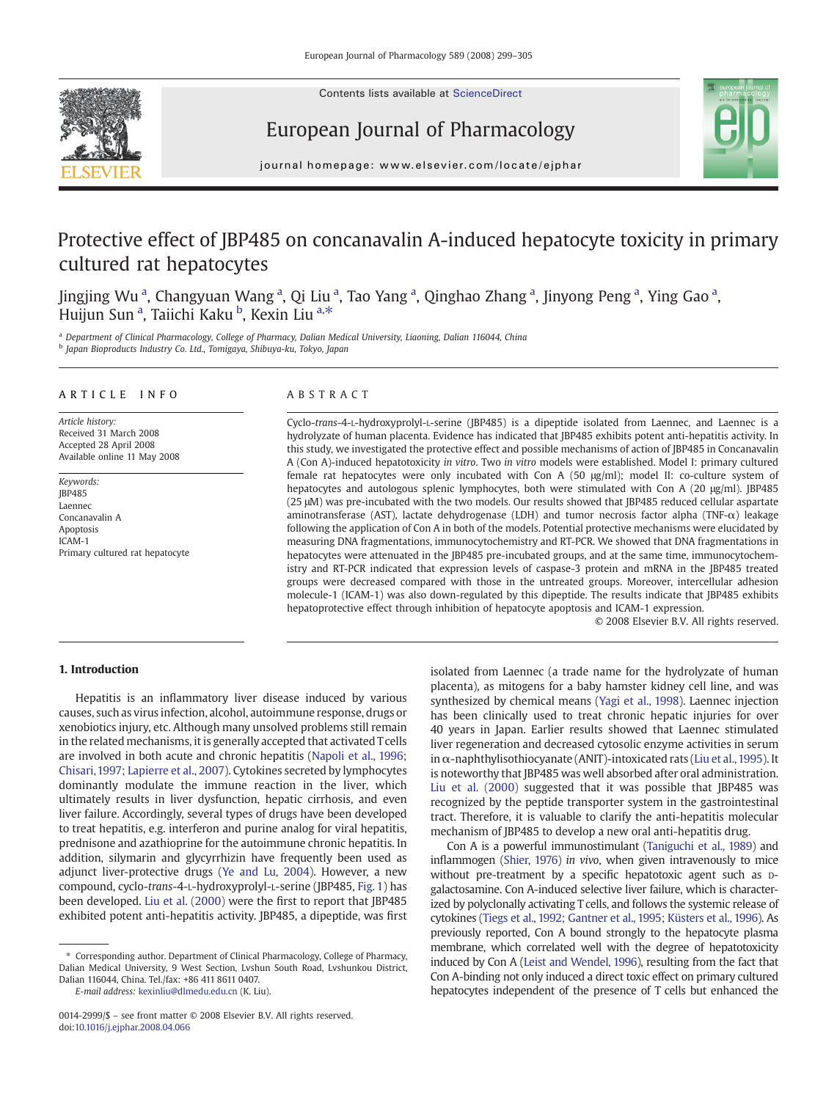

European Journal of Pharmacology



journal homepage: www.elsevier.com/locate/ejphar

## Protective effect of JBP485 on concanavalin A-induced hepatocyte toxicity in primary cultured rat hepatocytes

Jingjing Wu <sup>a</sup>, Changyuan Wang <sup>a</sup>, Qi Liu <sup>a</sup>, Tao Yang <sup>a</sup>, Qinghao Zhang <sup>a</sup>, Jinyong Peng <sup>a</sup>, Ying Gao <sup>a</sup>, Huijun Sun <sup>a</sup>, Taiichi Kaku <sup>b</sup>, Kexin Liu <sup>a,\*</sup>

a Department of Clinical Pharmacology, College of Pharmacy, Dalian Medical University, Liaoning, Dalian 116044, China <sup>b</sup> Japan Bioproducts Industry Co. Ltd., Tomigaya, Shibuya-ku, Tokyo, Japan

### ARTICLE INFO ABSTRACT

Article history: Received 31 March 2008 Accepted 28 April 2008 Available online 11 May 2008

Keywords: JBP485 Laennec Concanavalin A Apoptosis ICAM-1 Primary cultured rat hepatocyte

Cyclo-trans-4-L-hydroxyprolyl-L-serine (JBP485) is a dipeptide isolated from Laennec, and Laennec is a hydrolyzate of human placenta. Evidence has indicated that JBP485 exhibits potent anti-hepatitis activity. In this study, we investigated the protective effect and possible mechanisms of action of JBP485 in Concanavalin A (Con A)-induced hepatotoxicity in vitro. Two in vitro models were established. Model I: primary cultured female rat hepatocytes were only incubated with Con A (50 μg/ml); model II: co-culture system of hepatocytes and autologous splenic lymphocytes, both were stimulated with Con A (20 μg/ml). JBP485 (25 μM) was pre-incubated with the two models. Our results showed that JBP485 reduced cellular aspartate aminotransferase (AST), lactate dehydrogenase (LDH) and tumor necrosis factor alpha (TNF-α) leakage following the application of Con A in both of the models. Potential protective mechanisms were elucidated by measuring DNA fragmentations, immunocytochemistry and RT-PCR. We showed that DNA fragmentations in hepatocytes were attenuated in the JBP485 pre-incubated groups, and at the same time, immunocytochemistry and RT-PCR indicated that expression levels of caspase-3 protein and mRNA in the JBP485 treated groups were decreased compared with those in the untreated groups. Moreover, intercellular adhesion molecule-1 (ICAM-1) was also down-regulated by this dipeptide. The results indicate that JBP485 exhibits hepatoprotective effect through inhibition of hepatocyte apoptosis and ICAM-1 expression.

© 2008 Elsevier B.V. All rights reserved.

### 1. Introduction

Hepatitis is an inflammatory liver disease induced by various causes, such as virus infection, alcohol, autoimmune response, drugs or xenobiotics injury, etc. Although many unsolved problems still remain in the related mechanisms, it is generally accepted that activated Tcells are involved in both acute and chronic hepatitis ([Napoli et al., 1996;](#page-6-0) [Chisari, 1997; Lapierre et al., 2007\)](#page-6-0). Cytokines secreted by lymphocytes dominantly modulate the immune reaction in the liver, which ultimately results in liver dysfunction, hepatic cirrhosis, and even liver failure. Accordingly, several types of drugs have been developed to treat hepatitis, e.g. interferon and purine analog for viral hepatitis, prednisone and azathioprine for the autoimmune chronic hepatitis. In addition, silymarin and glycyrrhizin have frequently been used as adjunct liver-protective drugs [\(Ye and Lu, 2004](#page-6-0)). However, a new compound, cyclo-trans-4-L-hydroxyprolyl-L-serine (JBP485, [Fig. 1](#page-1-0)) has been developed. [Liu et al. \(2000\)](#page-6-0) were the first to report that JBP485 exhibited potent anti-hepatitis activity. JBP485, a dipeptide, was first

⁎ Corresponding author. Department of Clinical Pharmacology, College of Pharmacy, Dalian Medical University, 9 West Section, Lvshun South Road, Lvshunkou District, Dalian 116044, China. Tel./fax: +86 411 8611 0407.

E-mail address: [kexinliu@dlmedu.edu.cn](mailto:kexinliu@dlmedu.edu.cn) (K. Liu).

isolated from Laennec (a trade name for the hydrolyzate of human placenta), as mitogens for a baby hamster kidney cell line, and was synthesized by chemical means [\(Yagi et al., 1998\)](#page-6-0). Laennec injection has been clinically used to treat chronic hepatic injuries for over 40 years in Japan. Earlier results showed that Laennec stimulated liver regeneration and decreased cytosolic enzyme activities in serum in  $\alpha$ -naphthylisothiocyanate (ANIT)-intoxicated rats (Liu et al., 1995). It is noteworthy that JBP485 was well absorbed after oral administration. [Liu et al. \(2000\)](#page-6-0) suggested that it was possible that JBP485 was recognized by the peptide transporter system in the gastrointestinal tract. Therefore, it is valuable to clarify the anti-hepatitis molecular mechanism of JBP485 to develop a new oral anti-hepatitis drug.

Con A is a powerful immunostimulant ([Taniguchi et al., 1989](#page-6-0)) and inflammogen ([Shier, 1976](#page-6-0)) in vivo, when given intravenously to mice without pre-treatment by a specific hepatotoxic agent such as Dgalactosamine. Con A-induced selective liver failure, which is characterized by polyclonally activating T cells, and follows the systemic release of cytokines [\(Tiegs et al., 1992; Gantner et al., 1995; Küsters et al., 1996\)](#page-6-0). As previously reported, Con A bound strongly to the hepatocyte plasma membrane, which correlated well with the degree of hepatotoxicity induced by Con A [\(Leist and Wendel, 1996](#page-6-0)), resulting from the fact that Con A-binding not only induced a direct toxic effect on primary cultured hepatocytes independent of the presence of T cells but enhanced the

<sup>0014-2999/\$</sup> – see front matter © 2008 Elsevier B.V. All rights reserved. doi:[10.1016/j.ejphar.2008.04.066](http://dx.doi.org/10.1016/j.ejphar.2008.04.066)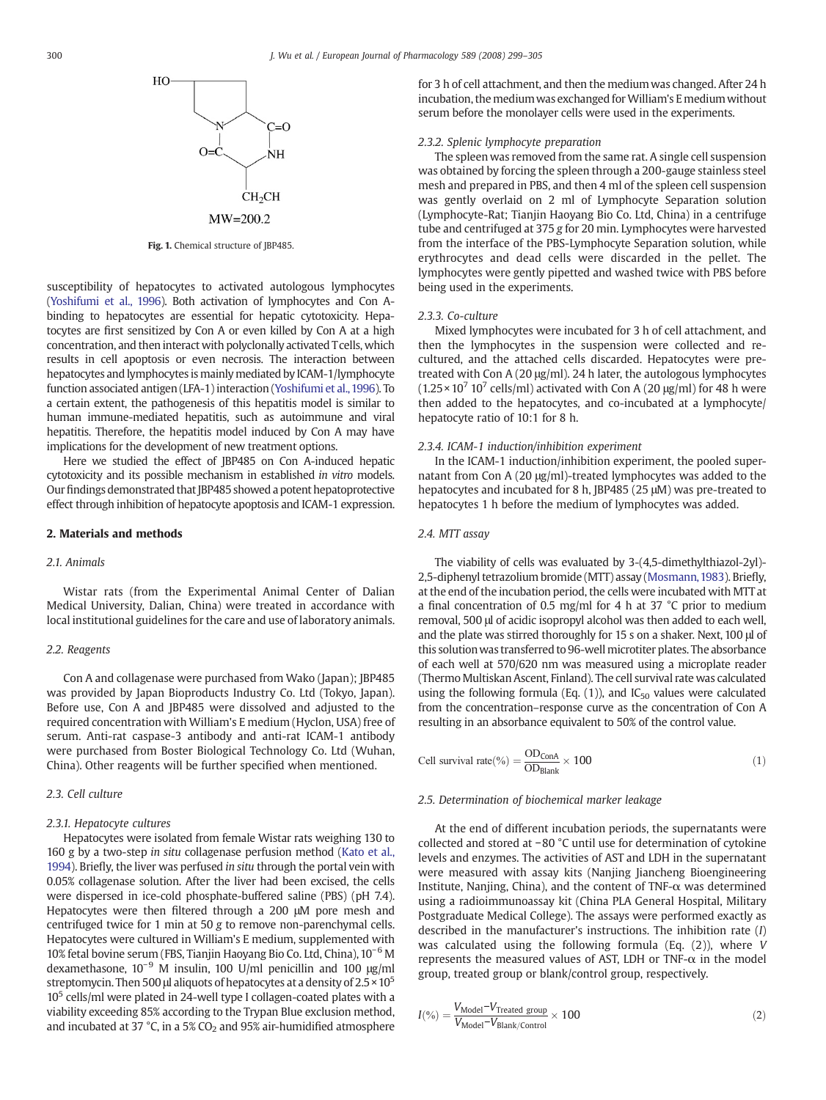<span id="page-1-0"></span>

Fig. 1. Chemical structure of JBP485.

susceptibility of hepatocytes to activated autologous lymphocytes [\(Yoshifumi et al., 1996](#page-6-0)). Both activation of lymphocytes and Con Abinding to hepatocytes are essential for hepatic cytotoxicity. Hepatocytes are first sensitized by Con A or even killed by Con A at a high concentration, and then interact with polyclonally activated Tcells, which results in cell apoptosis or even necrosis. The interaction between hepatocytes and lymphocytes is mainly mediated by ICAM-1/lymphocyte function associated antigen (LFA-1) interaction [\(Yoshifumi et al.,1996\)](#page-6-0). To a certain extent, the pathogenesis of this hepatitis model is similar to human immune-mediated hepatitis, such as autoimmune and viral hepatitis. Therefore, the hepatitis model induced by Con A may have implications for the development of new treatment options.

Here we studied the effect of JBP485 on Con A-induced hepatic cytotoxicity and its possible mechanism in established in vitro models. Our findings demonstrated that JBP485 showed a potent hepatoprotective effect through inhibition of hepatocyte apoptosis and ICAM-1 expression.

#### 2. Materials and methods

#### 2.1. Animals

Wistar rats (from the Experimental Animal Center of Dalian Medical University, Dalian, China) were treated in accordance with local institutional guidelines for the care and use of laboratory animals.

#### 2.2. Reagents

Con A and collagenase were purchased from Wako (Japan); JBP485 was provided by Japan Bioproducts Industry Co. Ltd (Tokyo, Japan). Before use, Con A and JBP485 were dissolved and adjusted to the required concentration with William's E medium (Hyclon, USA) free of serum. Anti-rat caspase-3 antibody and anti-rat ICAM-1 antibody were purchased from Boster Biological Technology Co. Ltd (Wuhan, China). Other reagents will be further specified when mentioned.

#### 2.3. Cell culture

#### 2.3.1. Hepatocyte cultures

Hepatocytes were isolated from female Wistar rats weighing 130 to 160 g by a two-step in situ collagenase perfusion method ([Kato et al.,](#page-6-0) [1994](#page-6-0)). Briefly, the liver was perfused in situ through the portal vein with 0.05% collagenase solution. After the liver had been excised, the cells were dispersed in ice-cold phosphate-buffered saline (PBS) (pH 7.4). Hepatocytes were then filtered through a 200 μM pore mesh and centrifuged twice for 1 min at 50 g to remove non-parenchymal cells. Hepatocytes were cultured in William's E medium, supplemented with 10% fetal bovine serum (FBS, Tianjin Haoyang Bio Co. Ltd, China), 10−<sup>6</sup> M dexamethasone, 10−<sup>9</sup> M insulin, 100 U/ml penicillin and 100 μg/ml streptomycin. Then 500 μl aliquots of hepatocytes at a density of  $2.5 \times 10^5$ 10<sup>5</sup> cells/ml were plated in 24-well type I collagen-coated plates with a viability exceeding 85% according to the Trypan Blue exclusion method, and incubated at 37  $^{\circ}$ C, in a 5% CO<sub>2</sub> and 95% air-humidified atmosphere for 3 h of cell attachment, and then the medium was changed. After 24 h incubation, the medium was exchanged for William's E medium without serum before the monolayer cells were used in the experiments.

#### 2.3.2. Splenic lymphocyte preparation

The spleen was removed from the same rat. A single cell suspension was obtained by forcing the spleen through a 200-gauge stainless steel mesh and prepared in PBS, and then 4 ml of the spleen cell suspension was gently overlaid on 2 ml of Lymphocyte Separation solution (Lymphocyte-Rat; Tianjin Haoyang Bio Co. Ltd, China) in a centrifuge tube and centrifuged at 375 g for 20 min. Lymphocytes were harvested from the interface of the PBS-Lymphocyte Separation solution, while erythrocytes and dead cells were discarded in the pellet. The lymphocytes were gently pipetted and washed twice with PBS before being used in the experiments.

#### 2.3.3. Co-culture

Mixed lymphocytes were incubated for 3 h of cell attachment, and then the lymphocytes in the suspension were collected and recultured, and the attached cells discarded. Hepatocytes were pretreated with Con A (20 μg/ml). 24 h later, the autologous lymphocytes  $(1.25 \times 10^7 \text{ 10}^7 \text{ cells/ml})$  activated with Con A (20 µg/ml) for 48 h were then added to the hepatocytes, and co-incubated at a lymphocyte/ hepatocyte ratio of 10:1 for 8 h.

#### 2.3.4. ICAM-1 induction/inhibition experiment

In the ICAM-1 induction/inhibition experiment, the pooled supernatant from Con A (20 μg/ml)-treated lymphocytes was added to the hepatocytes and incubated for 8 h, JBP485 (25 μM) was pre-treated to hepatocytes 1 h before the medium of lymphocytes was added.

#### 2.4. MTT assay

The viability of cells was evaluated by 3-(4,5-dimethylthiazol-2yl)- 2,5-diphenyl tetrazolium bromide (MTT) assay [\(Mosmann,1983](#page-6-0)). Briefly, at the end of the incubation period, the cells were incubated with MTT at a final concentration of 0.5 mg/ml for 4 h at 37 °C prior to medium removal, 500 μl of acidic isopropyl alcohol was then added to each well, and the plate was stirred thoroughly for 15 s on a shaker. Next, 100 μl of this solutionwas transferred to 96-well microtiter plates. The absorbance of each well at 570/620 nm was measured using a microplate reader (Thermo Multiskan Ascent, Finland). The cell survival rate was calculated using the following formula (Eq.  $(1)$ ), and IC<sub>50</sub> values were calculated from the concentration–response curve as the concentration of Con A resulting in an absorbance equivalent to 50% of the control value.

Cell survival rate(
$$
\degree_0
$$
) =  $\frac{\text{OD}_{\text{ConA}}}{\text{OD}_{\text{Blank}}} \times 100$  (1)

#### 2.5. Determination of biochemical marker leakage

At the end of different incubation periods, the supernatants were collected and stored at −80 °C until use for determination of cytokine levels and enzymes. The activities of AST and LDH in the supernatant were measured with assay kits (Nanjing Jiancheng Bioengineering Institute, Nanjing, China), and the content of TNF-α was determined using a radioimmunoassay kit (China PLA General Hospital, Military Postgraduate Medical College). The assays were performed exactly as described in the manufacturer's instructions. The inhibition rate (I) was calculated using the following formula (Eq. (2)), where V represents the measured values of AST, LDH or TNF- $\alpha$  in the model group, treated group or blank/control group, respectively.

$$
I(\%) = \frac{V_{\text{Model}} - V_{\text{Treated group}}}{V_{\text{Model}} - V_{\text{Blank/Control}}} \times 100
$$
\n(2)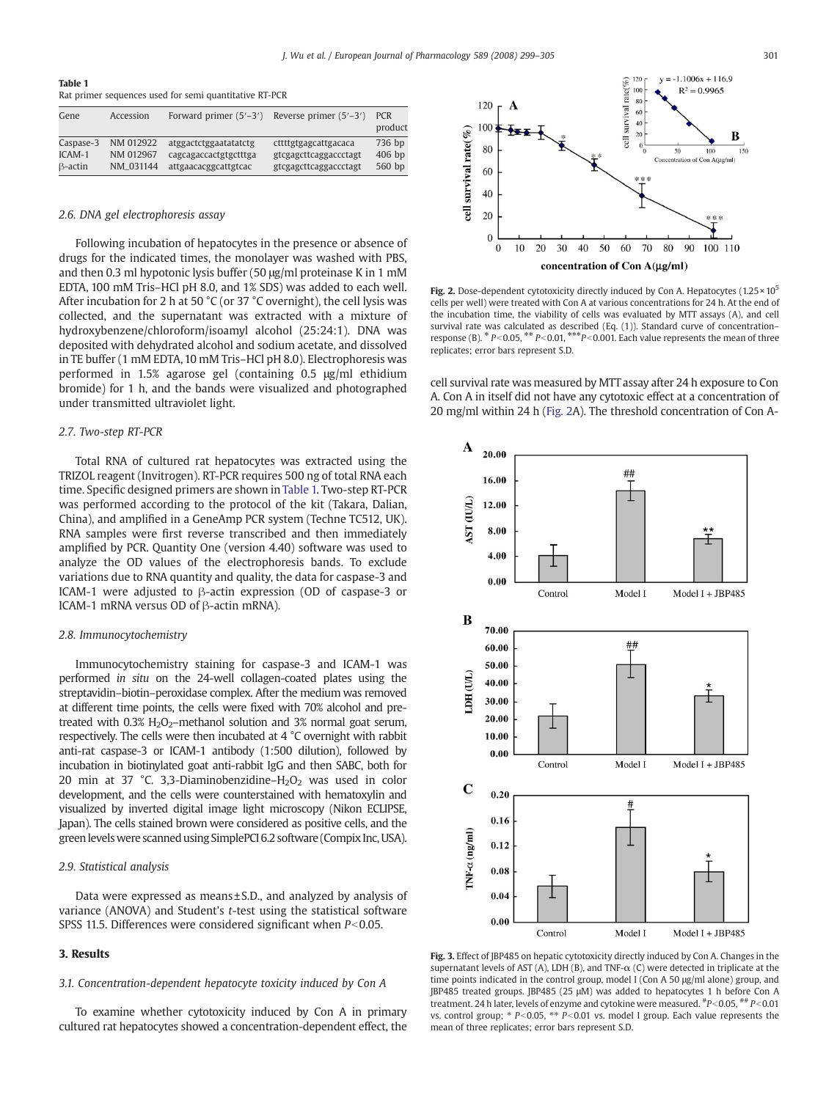<span id="page-2-0"></span>

| Table 1 |  |  |                                                        |  |
|---------|--|--|--------------------------------------------------------|--|
|         |  |  | Rat primer sequences used for semi quantitative RT-PCR |  |

| Gene                           | Accession                           | Forward primer $(5'-3')$                                               | Reverse primer $(5'-3')$                                               | <b>PCR</b><br>product        |
|--------------------------------|-------------------------------------|------------------------------------------------------------------------|------------------------------------------------------------------------|------------------------------|
| Caspase-3<br>ICAM-1<br>B-actin | NM 012922<br>NM 012967<br>NM_031144 | atggactctggaatatatctg<br>cagcagaccactgtgctttga<br>attgaacacggcattgtcac | cttttgtgagcattgacaca<br>gtcgagcttcaggaccctagt<br>gtcgagcttcaggaccctagt | 736 bp<br>$406$ bp<br>560 bp |

#### 2.6. DNA gel electrophoresis assay

Following incubation of hepatocytes in the presence or absence of drugs for the indicated times, the monolayer was washed with PBS, and then 0.3 ml hypotonic lysis buffer (50 μg/ml proteinase K in 1 mM EDTA, 100 mM Tris–HCl pH 8.0, and 1% SDS) was added to each well. After incubation for 2 h at 50 °C (or 37 °C overnight), the cell lysis was collected, and the supernatant was extracted with a mixture of hydroxybenzene/chloroform/isoamyl alcohol (25:24:1). DNA was deposited with dehydrated alcohol and sodium acetate, and dissolved in TE buffer (1 mM EDTA, 10 mM Tris–HCl pH 8.0). Electrophoresis was performed in 1.5% agarose gel (containing 0.5 μg/ml ethidium bromide) for 1 h, and the bands were visualized and photographed under transmitted ultraviolet light.

#### 2.7. Two-step RT-PCR

Total RNA of cultured rat hepatocytes was extracted using the TRIZOL reagent (Invitrogen). RT-PCR requires 500 ng of total RNA each time. Specific designed primers are shown in Table 1. Two-step RT-PCR was performed according to the protocol of the kit (Takara, Dalian, China), and amplified in a GeneAmp PCR system (Techne TC512, UK). RNA samples were first reverse transcribed and then immediately amplified by PCR. Quantity One (version 4.40) software was used to analyze the OD values of the electrophoresis bands. To exclude variations due to RNA quantity and quality, the data for caspase-3 and ICAM-1 were adjusted to β-actin expression (OD of caspase-3 or ICAM-1 mRNA versus OD of β-actin mRNA).

#### 2.8. Immunocytochemistry

Immunocytochemistry staining for caspase-3 and ICAM-1 was performed in situ on the 24-well collagen-coated plates using the streptavidin–biotin–peroxidase complex. After the medium was removed at different time points, the cells were fixed with 70% alcohol and pretreated with  $0.3\%$  H<sub>2</sub>O<sub>2</sub>–methanol solution and 3% normal goat serum, respectively. The cells were then incubated at 4 °C overnight with rabbit anti-rat caspase-3 or ICAM-1 antibody (1:500 dilution), followed by incubation in biotinylated goat anti-rabbit IgG and then SABC, both for 20 min at 37 °C. 3,3-Diaminobenzidine– $H_2O_2$  was used in color development, and the cells were counterstained with hematoxylin and visualized by inverted digital image light microscopy (Nikon ECLIPSE, Japan). The cells stained brown were considered as positive cells, and the greenlevels were scanned using SimplePCI 6.2 software (Compix Inc, USA).

#### 2.9. Statistical analysis

Data were expressed as means ± S.D., and analyzed by analysis of variance (ANOVA) and Student's t-test using the statistical software SPSS 11.5. Differences were considered significant when  $P<0.05$ .

### 3. Results

#### 3.1. Concentration-dependent hepatocyte toxicity induced by Con A

To examine whether cytotoxicity induced by Con A in primary cultured rat hepatocytes showed a concentration-dependent effect, the



Fig. 2. Dose-dependent cytotoxicity directly induced by Con A. Hepatocytes  $(1.25 \times 10^5$ cells per well) were treated with Con A at various concentrations for 24 h. At the end of the incubation time, the viability of cells was evaluated by MTT assays (A), and cell survival rate was calculated as described (Eq. (1)). Standard curve of concentration– response (B).  $* P < 0.05$ ,  $* P < 0.01$ ,  $* * P < 0.001$ . Each value represents the mean of three replicates; error bars represent S.D.

cell survival rate was measured by MTT assay after 24 h exposure to Con A. Con A in itself did not have any cytotoxic effect at a concentration of 20 mg/ml within 24 h (Fig. 2A). The threshold concentration of Con A-



Fig. 3. Effect of JBP485 on hepatic cytotoxicity directly induced by Con A. Changes in the supernatant levels of AST (A), LDH (B), and TNF- $\alpha$  (C) were detected in triplicate at the time points indicated in the control group, model I (Con A 50 μg/ml alone) group, and JBP485 treated groups. JBP485 (25 μM) was added to hepatocytes 1 h before Con A treatment. 24 h later, levels of enzyme and cytokine were measured.  $^{#}P<0.05$ ,  $^{#}P<0.01$ vs. control group;  $* P < 0.05$ ,  $** P < 0.01$  vs. model I group. Each value represents the mean of three replicates; error bars represent S.D.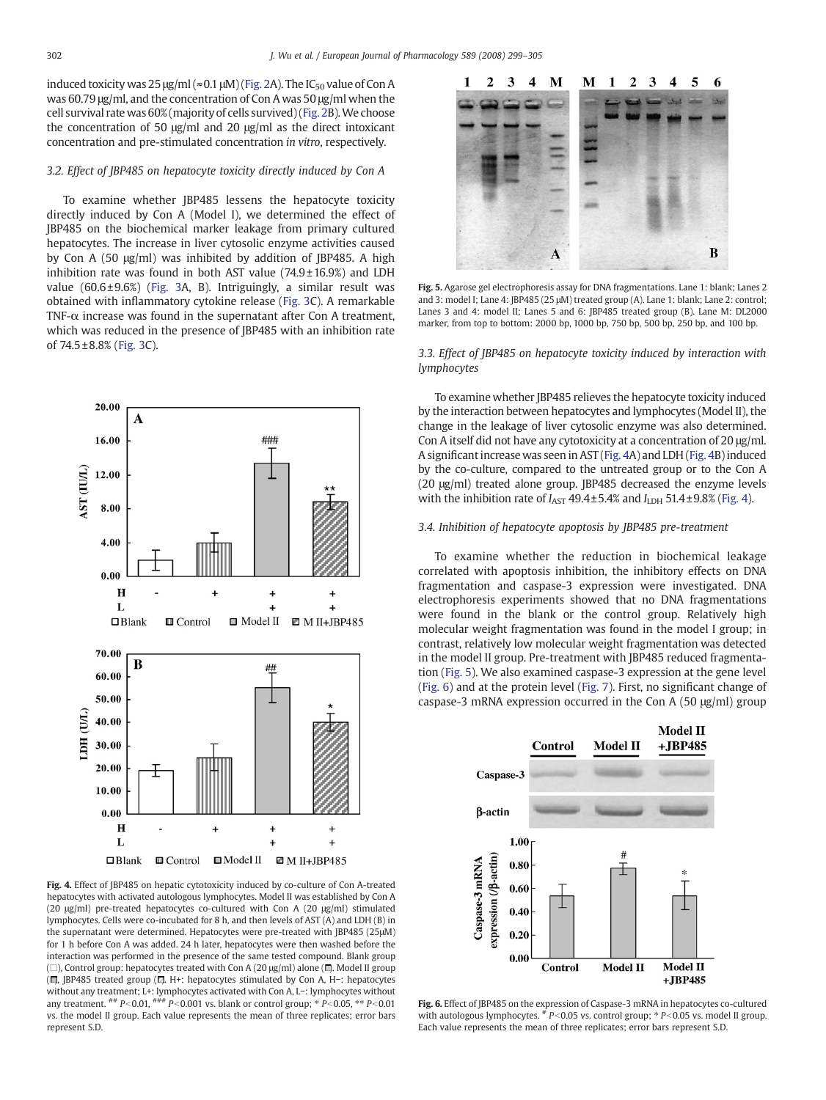<span id="page-3-0"></span>induced toxicity was  $25 \mu g/ml \approx 0.1 \mu M$ ) ([Fig. 2A](#page-2-0)). The IC<sub>50</sub> value of Con A was 60.79 μg/ml, and the concentration of Con A was 50 μg/ml when the cell survival rate was 60% (majority of cells survived) [\(Fig. 2](#page-2-0)B).We choose the concentration of 50 μg/ml and 20 μg/ml as the direct intoxicant concentration and pre-stimulated concentration in vitro, respectively.

#### 3.2. Effect of JBP485 on hepatocyte toxicity directly induced by Con A

To examine whether JBP485 lessens the hepatocyte toxicity directly induced by Con A (Model I), we determined the effect of JBP485 on the biochemical marker leakage from primary cultured hepatocytes. The increase in liver cytosolic enzyme activities caused by Con A (50 μg/ml) was inhibited by addition of JBP485. A high inhibition rate was found in both AST value  $(74.9 \pm 16.9%)$  and LDH value  $(60.6 \pm 9.6%)$  [\(Fig. 3A](#page-2-0), B). Intriguingly, a similar result was obtained with inflammatory cytokine release [\(Fig. 3C](#page-2-0)). A remarkable TNF- $\alpha$  increase was found in the supernatant after Con A treatment. which was reduced in the presence of JBP485 with an inhibition rate of 74.5 ± 8.8% [\(Fig. 3C](#page-2-0)). 3.3. Effect of JBP485 on hepatocyte toxicity induced by interaction with



Fig. 4. Effect of JBP485 on hepatic cytotoxicity induced by co-culture of Con A-treated hepatocytes with activated autologous lymphocytes. Model II was established by Con A (20 μg/ml) pre-treated hepatocytes co-cultured with Con A (20 μg/ml) stimulated lymphocytes. Cells were co-incubated for 8 h, and then levels of AST (A) and LDH (B) in the supernatant were determined. Hepatocytes were pre-treated with IBP485 (25μM) for 1 h before Con A was added. 24 h later, hepatocytes were then washed before the interaction was performed in the presence of the same tested compound. Blank group ( $\square$ ), Control group: hepatocytes treated with Con A (20 μg/ml) alone ( $\square$ ). Model II group ( $\Box$ , JBP485 treated group ( $\Box$ ). H+: hepatocytes stimulated by Con A, H−: hepatocytes without any treatment; L+: lymphocytes activated with Con A, L−: lymphocytes without<br>any treatment. ## P<0.01, ### P<0.001 vs. blank or control group; \* P<0.05, \*\* P<0.01 vs. the model II group. Each value represents the mean of three replicates; error bars represent S.D.



Fig. 5. Agarose gel electrophoresis assay for DNA fragmentations. Lane 1: blank; Lanes 2 and 3: model I; Lane 4: JBP485 (25 μM) treated group (A). Lane 1: blank; Lane 2: control; Lanes 3 and 4: model II; Lanes 5 and 6: JBP485 treated group (B). Lane M: DL2000 marker, from top to bottom: 2000 bp, 1000 bp, 750 bp, 500 bp, 250 bp, and 100 bp.

# lymphocytes

To examine whether JBP485 relieves the hepatocyte toxicity induced by the interaction between hepatocytes and lymphocytes (Model II), the change in the leakage of liver cytosolic enzyme was also determined. Con A itself did not have any cytotoxicity at a concentration of 20 μg/ml. A significant increase was seen in AST (Fig. 4A) and LDH (Fig. 4B) induced by the co-culture, compared to the untreated group or to the Con A (20 μg/ml) treated alone group. JBP485 decreased the enzyme levels with the inhibition rate of  $I_{\text{AST}}$  49.4 $\pm$ 5.4% and  $I_{\text{LDH}}$  51.4 $\pm$ 9.8% (Fig. 4).

#### 3.4. Inhibition of hepatocyte apoptosis by JBP485 pre-treatment

To examine whether the reduction in biochemical leakage correlated with apoptosis inhibition, the inhibitory effects on DNA fragmentation and caspase-3 expression were investigated. DNA electrophoresis experiments showed that no DNA fragmentations were found in the blank or the control group. Relatively high molecular weight fragmentation was found in the model I group; in contrast, relatively low molecular weight fragmentation was detected in the model II group. Pre-treatment with JBP485 reduced fragmentation (Fig. 5). We also examined caspase-3 expression at the gene level (Fig. 6) and at the protein level ([Fig. 7\)](#page-4-0). First, no significant change of caspase-3 mRNA expression occurred in the Con A (50 μg/ml) group



Fig. 6. Effect of JBP485 on the expression of Caspase-3 mRNA in hepatocytes co-cultured with autologous lymphocytes.  $*$  P<0.05 vs. control group;  $*$  P<0.05 vs. model II group. Each value represents the mean of three replicates; error bars represent S.D.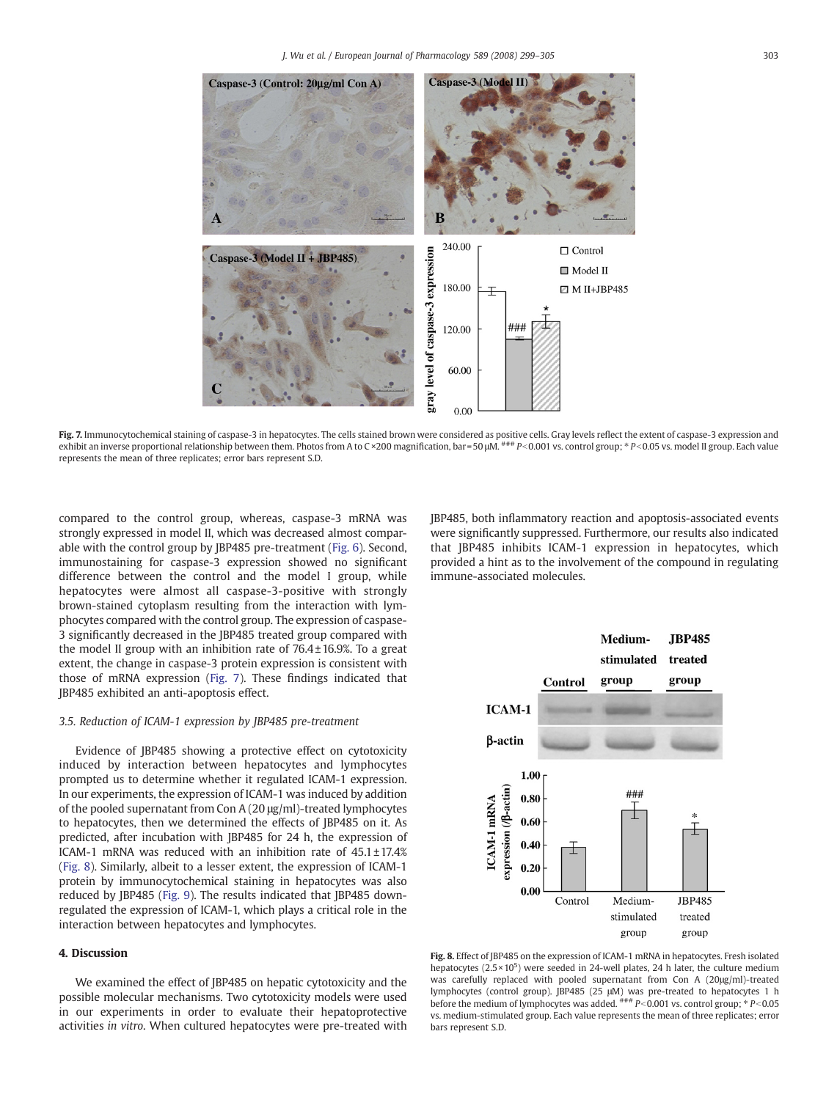<span id="page-4-0"></span>

Fig. 7. Immunocytochemical staining of caspase-3 in hepatocytes. The cells stained brown were considered as positive cells. Gray levels reflect the extent of caspase-3 expression and exhibit an inverse proportional relationship between them. Photos from A to C ×200 magnification, bar = 50 µM.  $##P$ <0.001 vs. control group;  $*P$ <0.05 vs. model II group. Each value represents the mean of three replicates; error bars represent S.D.

compared to the control group, whereas, caspase-3 mRNA was strongly expressed in model II, which was decreased almost comparable with the control group by JBP485 pre-treatment ([Fig. 6\)](#page-3-0). Second, immunostaining for caspase-3 expression showed no significant difference between the control and the model I group, while hepatocytes were almost all caspase-3-positive with strongly brown-stained cytoplasm resulting from the interaction with lymphocytes compared with the control group. The expression of caspase-3 significantly decreased in the JBP485 treated group compared with the model II group with an inhibition rate of  $76.4 \pm 16.9$ %. To a great extent, the change in caspase-3 protein expression is consistent with those of mRNA expression (Fig. 7). These findings indicated that JBP485 exhibited an anti-apoptosis effect.

#### 3.5. Reduction of ICAM-1 expression by JBP485 pre-treatment

Evidence of JBP485 showing a protective effect on cytotoxicity induced by interaction between hepatocytes and lymphocytes prompted us to determine whether it regulated ICAM-1 expression. In our experiments, the expression of ICAM-1 was induced by addition of the pooled supernatant from Con A (20 μg/ml)-treated lymphocytes to hepatocytes, then we determined the effects of JBP485 on it. As predicted, after incubation with JBP485 for 24 h, the expression of ICAM-1 mRNA was reduced with an inhibition rate of 45.1 ± 17.4% (Fig. 8). Similarly, albeit to a lesser extent, the expression of ICAM-1 protein by immunocytochemical staining in hepatocytes was also reduced by JBP485 [\(Fig. 9](#page-5-0)). The results indicated that JBP485 downregulated the expression of ICAM-1, which plays a critical role in the interaction between hepatocytes and lymphocytes.

### 4. Discussion

We examined the effect of JBP485 on hepatic cytotoxicity and the possible molecular mechanisms. Two cytotoxicity models were used in our experiments in order to evaluate their hepatoprotective activities in vitro. When cultured hepatocytes were pre-treated with JBP485, both inflammatory reaction and apoptosis-associated events were significantly suppressed. Furthermore, our results also indicated that JBP485 inhibits ICAM-1 expression in hepatocytes, which provided a hint as to the involvement of the compound in regulating immune-associated molecules.



Fig. 8. Effect of JBP485 on the expression of ICAM-1 mRNA in hepatocytes. Fresh isolated hepatocytes  $(2.5 \times 10^5)$  were seeded in 24-well plates, 24 h later, the culture medium was carefully replaced with pooled supernatant from Con A (20μg/ml)-treated lymphocytes (control group). JBP485 (25 μM) was pre-treated to hepatocytes 1 h<br>before the medium of lymphocytes was added. <sup>###</sup> P<0.001 vs. control group; \* P<0.05 vs. medium-stimulated group. Each value represents the mean of three replicates; error bars represent S.D.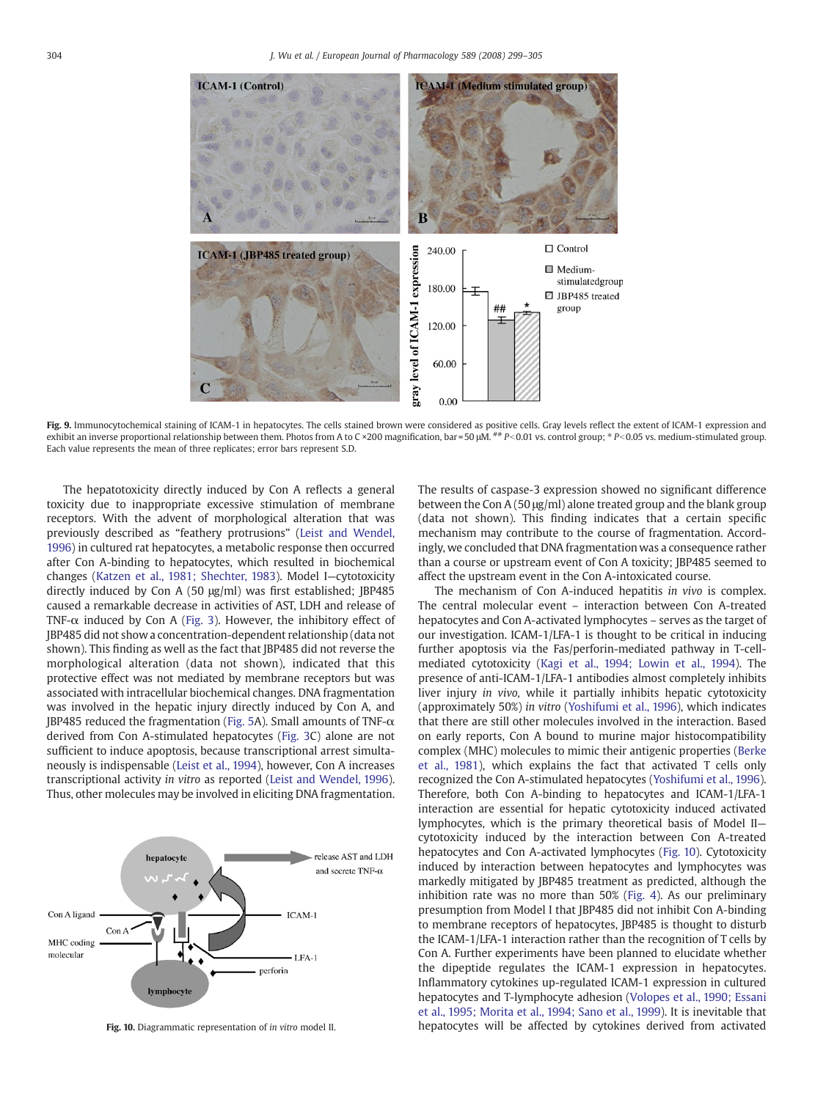<span id="page-5-0"></span>

Fig. 9. Immunocytochemical staining of ICAM-1 in hepatocytes. The cells stained brown were considered as positive cells. Gray levels reflect the extent of ICAM-1 expression and exhibit an inverse proportional relationship between them. Photos from A to C ×200 magnification, bar = 50 µM.  $^{***}$  P < 0.01 vs. control group;  $*$  P < 0.05 vs. medium-stimulated group. Each value represents the mean of three replicates; error bars represent S.D.

The hepatotoxicity directly induced by Con A reflects a general toxicity due to inappropriate excessive stimulation of membrane receptors. With the advent of morphological alteration that was previously described as "feathery protrusions" [\(Leist and Wendel,](#page-6-0) [1996](#page-6-0)) in cultured rat hepatocytes, a metabolic response then occurred after Con A-binding to hepatocytes, which resulted in biochemical changes [\(Katzen et al., 1981; Shechter, 1983\)](#page-6-0). Model I—cytotoxicity directly induced by Con A (50 μg/ml) was first established; JBP485 caused a remarkable decrease in activities of AST, LDH and release of TNF- $\alpha$  induced by Con A [\(Fig. 3](#page-2-0)). However, the inhibitory effect of JBP485 did not show a concentration-dependent relationship (data not shown). This finding as well as the fact that JBP485 did not reverse the morphological alteration (data not shown), indicated that this protective effect was not mediated by membrane receptors but was associated with intracellular biochemical changes. DNA fragmentation was involved in the hepatic injury directly induced by Con A, and JBP485 reduced the fragmentation [\(Fig. 5](#page-3-0)A). Small amounts of TNF-α derived from Con A-stimulated hepatocytes [\(Fig. 3C](#page-2-0)) alone are not sufficient to induce apoptosis, because transcriptional arrest simultaneously is indispensable [\(Leist et al., 1994](#page-6-0)), however, Con A increases transcriptional activity in vitro as reported ([Leist and Wendel, 1996](#page-6-0)). Thus, other molecules may be involved in eliciting DNA fragmentation.



Fig. 10. Diagrammatic representation of in vitro model II.

The results of caspase-3 expression showed no significant difference between the Con A (50 μg/ml) alone treated group and the blank group (data not shown). This finding indicates that a certain specific mechanism may contribute to the course of fragmentation. Accordingly, we concluded that DNA fragmentation was a consequence rather than a course or upstream event of Con A toxicity; JBP485 seemed to affect the upstream event in the Con A-intoxicated course.

The mechanism of Con A-induced hepatitis in vivo is complex. The central molecular event – interaction between Con A-treated hepatocytes and Con A-activated lymphocytes – serves as the target of our investigation. ICAM-1/LFA-1 is thought to be critical in inducing further apoptosis via the Fas/perforin-mediated pathway in T-cellmediated cytotoxicity ([Kagi et al., 1994; Lowin et al., 1994](#page-6-0)). The presence of anti-ICAM-1/LFA-1 antibodies almost completely inhibits liver injury in vivo, while it partially inhibits hepatic cytotoxicity (approximately 50%) in vitro [\(Yoshifumi et al., 1996](#page-6-0)), which indicates that there are still other molecules involved in the interaction. Based on early reports, Con A bound to murine major histocompatibility complex (MHC) molecules to mimic their antigenic properties [\(Berke](#page-6-0) [et al., 1981](#page-6-0)), which explains the fact that activated T cells only recognized the Con A-stimulated hepatocytes [\(Yoshifumi et al., 1996](#page-6-0)). Therefore, both Con A-binding to hepatocytes and ICAM-1/LFA-1 interaction are essential for hepatic cytotoxicity induced activated lymphocytes, which is the primary theoretical basis of Model II cytotoxicity induced by the interaction between Con A-treated hepatocytes and Con A-activated lymphocytes (Fig. 10). Cytotoxicity induced by interaction between hepatocytes and lymphocytes was markedly mitigated by JBP485 treatment as predicted, although the inhibition rate was no more than 50% ([Fig. 4](#page-3-0)). As our preliminary presumption from Model I that JBP485 did not inhibit Con A-binding to membrane receptors of hepatocytes, JBP485 is thought to disturb the ICAM-1/LFA-1 interaction rather than the recognition of T cells by Con A. Further experiments have been planned to elucidate whether the dipeptide regulates the ICAM-1 expression in hepatocytes. Inflammatory cytokines up-regulated ICAM-1 expression in cultured hepatocytes and T-lymphocyte adhesion [\(Volopes et al., 1990; Essani](#page-6-0) [et al., 1995; Morita et al., 1994; Sano et al., 1999](#page-6-0)). It is inevitable that hepatocytes will be affected by cytokines derived from activated